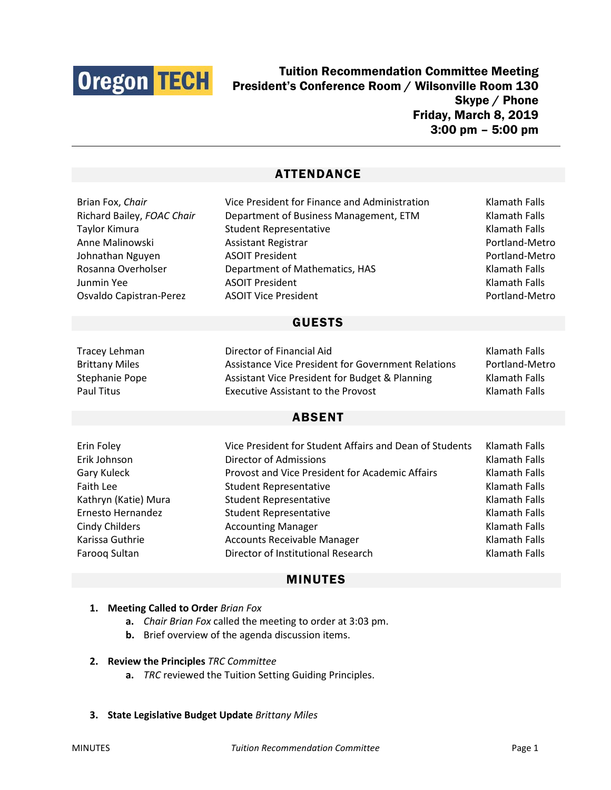

Tuition Recommendation Committee Meeting President's Conference Room / Wilsonville Room 130 Skype / Phone Friday, March 8, 2019 3:00 pm – 5:00 pm

# ATTENDANCE

| Brian Fox, Chair           | Vice President for Finance and Administration           | Klamath Falls        |
|----------------------------|---------------------------------------------------------|----------------------|
| Richard Bailey, FOAC Chair | Department of Business Management, ETM                  | <b>Klamath Falls</b> |
| Taylor Kimura              | <b>Student Representative</b>                           | <b>Klamath Falls</b> |
| Anne Malinowski            | <b>Assistant Registrar</b>                              | Portland-Metro       |
| Johnathan Nguyen           | <b>ASOIT President</b>                                  | Portland-Metro       |
| Rosanna Overholser         | Department of Mathematics, HAS                          | <b>Klamath Falls</b> |
| Junmin Yee                 | <b>ASOIT President</b>                                  | <b>Klamath Falls</b> |
| Osvaldo Capistran-Perez    | <b>ASOIT Vice President</b>                             | Portland-Metro       |
| <b>GUESTS</b>              |                                                         |                      |
| <b>Tracey Lehman</b>       | Director of Financial Aid                               | <b>Klamath Falls</b> |
| <b>Brittany Miles</b>      | Assistance Vice President for Government Relations      | Portland-Metro       |
| Stephanie Pope             | Assistant Vice President for Budget & Planning          | Klamath Falls        |
| <b>Paul Titus</b>          | <b>Executive Assistant to the Provost</b>               | <b>Klamath Falls</b> |
| <b>ABSENT</b>              |                                                         |                      |
| Erin Foley                 | Vice President for Student Affairs and Dean of Students | <b>Klamath Falls</b> |
| Erik Johnson               | Director of Admissions                                  | <b>Klamath Falls</b> |
| <b>Gary Kuleck</b>         | Provost and Vice President for Academic Affairs         | Klamath Falls        |
| <b>Faith Lee</b>           | <b>Student Representative</b>                           | <b>Klamath Falls</b> |
| Kathryn (Katie) Mura       | <b>Student Representative</b>                           | <b>Klamath Falls</b> |
| Ernesto Hernandez          | <b>Student Representative</b>                           | Klamath Falls        |
| <b>Cindy Childers</b>      | <b>Accounting Manager</b>                               | <b>Klamath Falls</b> |
| Karissa Guthrie            | <b>Accounts Receivable Manager</b>                      | <b>Klamath Falls</b> |
| Farooq Sultan              | Director of Institutional Research                      | <b>Klamath Falls</b> |

# MINUTES

- **1. Meeting Called to Order** *Brian Fox*
	- **a.** *Chair Brian Fox* called the meeting to order at 3:03 pm.
	- **b.** Brief overview of the agenda discussion items.

#### **2. Review the Principles** *TRC Committee*

- **a.** *TRC* reviewed the Tuition Setting Guiding Principles.
- **3. State Legislative Budget Update** *Brittany Miles*